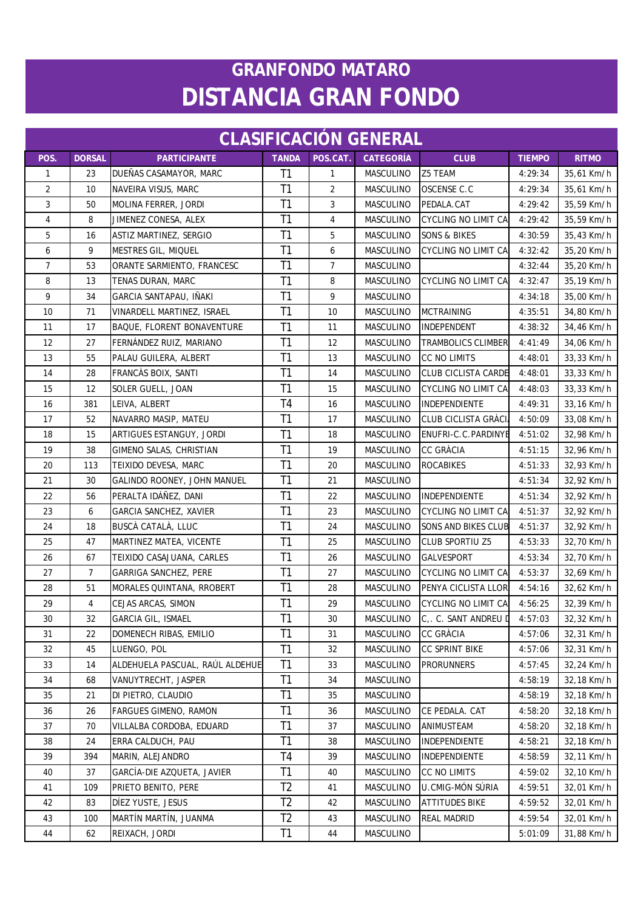| <b>CLASIFICACIÓN GENERAL</b> |                |                                 |                |                |                  |                             |               |              |  |  |
|------------------------------|----------------|---------------------------------|----------------|----------------|------------------|-----------------------------|---------------|--------------|--|--|
| POS.                         | <b>DORSAL</b>  | <b>PARTICIPANTE</b>             | <b>TANDA</b>   | POS.CAT.       | <b>CATEGORÍA</b> | <b>CLUB</b>                 | <b>TIEMPO</b> | <b>RITMO</b> |  |  |
| 1                            | 23             | DUEÑAS CASAMAYOR, MARC          | T <sub>1</sub> | 1              | MASCULINO        | Z5 TEAM                     | 4:29:34       | 35,61 Km/h   |  |  |
| 2                            | 10             | NAVEIRA VISUS, MARC             | T1             | 2              | <b>MASCULINO</b> | OSCENSE C.C                 | 4:29:34       | 35,61 Km/h   |  |  |
| 3                            | 50             | MOLINA FERRER, JORDI            | T1             | 3              | MASCULINO        | PEDALA.CAT                  | 4:29:42       | 35,59 Km/h   |  |  |
| $\overline{4}$               | 8              | JIMENEZ CONESA, ALEX            | T1             | 4              | MASCULINO        | <b>CYCLING NO LIMIT CA</b>  | 4:29:42       | 35,59 Km/h   |  |  |
| 5                            | 16             | ASTIZ MARTINEZ, SERGIO          | T1             | 5              | MASCULINO        | <b>SONS &amp; BIKES</b>     | 4:30:59       | 35,43 Km/h   |  |  |
| 6                            | 9              | MESTRES GIL, MIQUEL             | T1             | 6              | MASCULINO        | <b>CYCLING NO LIMIT CA</b>  | 4:32:42       | 35,20 Km/h   |  |  |
| $\overline{7}$               | 53             | ORANTE SARMIENTO, FRANCESC      | T1             | $\overline{7}$ | MASCULINO        |                             | 4:32:44       | 35,20 Km/h   |  |  |
| 8                            | 13             | TENAS DURAN, MARC               | T <sub>1</sub> | 8              | MASCULINO        | <b>CYCLING NO LIMIT CA</b>  | 4:32:47       | 35,19 Km/h   |  |  |
| 9                            | 34             | GARCIA SANTAPAU, IÑAKI          | T1             | 9              | MASCULINO        |                             | 4:34:18       | 35,00 Km/h   |  |  |
| 10                           | 71             | VINARDELL MARTINEZ, ISRAEL      | T1             | 10             | <b>MASCULINO</b> | <b>MCTRAINING</b>           | 4:35:51       | 34,80 Km/h   |  |  |
| 11                           | 17             | BAQUE, FLORENT BONAVENTURE      | T1             | 11             | MASCULINO        | INDEPENDENT                 | 4:38:32       | 34,46 Km/h   |  |  |
| 12                           | 27             | FERNANDEZ RUIZ, MARIANO         | T1             | 12             | MASCULINO        | <b>TRAMBOLICS CLIMBER</b>   | 4:41:49       | 34,06 Km/h   |  |  |
| 13                           | 55             | PALAU GUILERA, ALBERT           | T1             | 13             | MASCULINO        | <b>CC NO LIMITS</b>         | 4:48:01       | 33,33 Km/h   |  |  |
| 14                           | 28             | FRANCÀS BOIX, SANTI             | T1             | 14             | MASCULINO        | <b>CLUB CICLISTA CARDE</b>  | 4:48:01       | 33,33 Km/h   |  |  |
| 15                           | 12             | <b>SOLER GUELL, JOAN</b>        | T <sub>1</sub> | 15             | MASCULINO        | <b>CYCLING NO LIMIT CA</b>  | 4:48:03       | 33,33 Km/h   |  |  |
| 16                           | 381            | LEIVA, ALBERT                   | T <sub>4</sub> | 16             | MASCULINO        | <b>INDEPENDIENTE</b>        | 4:49:31       | 33,16 Km/h   |  |  |
| 17                           | 52             | NAVARRO MASIP, MATEU            | T1             | 17             | MASCULINO        | <b>CLUB CICLISTA GRÀCIA</b> | 4:50:09       | 33,08 Km/h   |  |  |
| 18                           | 15             | ARTIGUES ESTANGUY, JORDI        | T1             | 18             | <b>MASCULINO</b> | ENUFRI-C.C.PARDINYE         | 4:51:02       | 32,98 Km/h   |  |  |
| 19                           | 38             | GIMENO SALAS, CHRISTIAN         | T1             | 19             | MASCULINO        | <b>CC GRÀCIA</b>            | 4:51:15       | 32,96 Km/h   |  |  |
| 20                           | 113            | TEIXIDO DEVESA, MARC            | T1             | 20             | MASCULINO        | <b>ROCABIKES</b>            | 4:51:33       | 32,93 Km/h   |  |  |
| 21                           | 30             | GALINDO ROONEY, JOHN MANUEL     | T1             | 21             | <b>MASCULINO</b> |                             | 4:51:34       | 32,92 Km/h   |  |  |
| 22                           | 56             | PERALTA IDÁÑEZ, DANI            | T1             | 22             | MASCULINO        | <b>INDEPENDIENTE</b>        | 4:51:34       | 32,92 Km/h   |  |  |
| 23                           | 6              | <b>GARCIA SANCHEZ, XAVIER</b>   | T1             | 23             | MASCULINO        | <b>CYCLING NO LIMIT CA</b>  | 4:51:37       | 32,92 Km/h   |  |  |
| 24                           | 18             | BUSCÀ CATALÀ, LLUC              | T1             | 24             | MASCULINO        | SONS AND BIKES CLUB         | 4:51:37       | 32,92 Km/h   |  |  |
| 25                           | 47             | MARTINEZ MATEA, VICENTE         | T1             | 25             | MASCULINO        | <b>CLUB SPORTIU Z5</b>      | 4:53:33       | 32,70 Km/h   |  |  |
| 26                           | 67             | TEIXIDO CASAJUANA, CARLES       | T1             | 26             | MASCULINO        | <b>GALVESPORT</b>           | 4:53:34       | 32,70 Km/h   |  |  |
| 27                           | $\overline{7}$ | GARRIGA SANCHEZ, PERE           | T1             | 27             | MASCULINO        | CYCLING NO LIMIT CA         | 4:53:37       | 32,69 Km/h   |  |  |
| 28                           | 51             | MORALES QUINTANA, RROBERT       | T1             | 28             | MASCULINO        | PENYA CICLISTA LLOR         | 4:54:16       | 32,62 Km/h   |  |  |
| 29                           | 4              | CEJAS ARCAS, SIMON              | T1             | 29             | <b>MASCULINO</b> | <b>CYCLING NO LIMIT CA</b>  | 4:56:25       | 32,39 Km/h   |  |  |
| 30                           | 32             | <b>GARCIA GIL, ISMAEL</b>       | T1             | 30             | MASCULINO        | C, . C. SANT ANDREU D       | 4:57:03       | 32,32 Km/h   |  |  |
| 31                           | 22             | DOMENECH RIBAS, EMILIO          | T1             | 31             | MASCULINO        | <b>CC GRÀCIA</b>            | 4:57:06       | 32,31 Km/h   |  |  |
| 32                           | 45             | LUENGO, POL                     | T1             | 32             | MASCULINO        | CC SPRINT BIKE              | 4:57:06       | 32,31 Km/h   |  |  |
| 33                           | 14             | ALDEHUELA PASCUAL, RAÚL ALDEHUE | T1             | 33             | MASCULINO        | <b>PRORUNNERS</b>           | 4:57:45       | 32,24 Km/h   |  |  |
| 34                           | 68             | VANUYTRECHT, JASPER             | T1             | 34             | MASCULINO        |                             | 4:58:19       | 32,18 Km/h   |  |  |
| 35                           | 21             | DI PIETRO, CLAUDIO              | T1             | 35             | MASCULINO        |                             | 4:58:19       | 32,18 Km/h   |  |  |
| 36                           | 26             | <b>FARGUES GIMENO, RAMON</b>    | T1             | 36             | MASCULINO        | CE PEDALA. CAT              | 4:58:20       | 32,18 Km/h   |  |  |
| 37                           | 70             | VILLALBA CORDOBA, EDUARD        | T1             | 37             | MASCULINO        | ANIMUSTEAM                  | 4:58:20       | 32,18 Km/h   |  |  |
| 38                           | 24             | ERRA CALDUCH, PAU               | T1             | 38             | MASCULINO        | INDEPENDIENTE               | 4:58:21       | 32,18 Km/h   |  |  |
| 39                           | 394            | MARIN, ALEJANDRO                | T4             | 39             | MASCULINO        | INDEPENDIENTE               | 4:58:59       | 32,11 Km/h   |  |  |
| 40                           | 37             | GARCÍA-DIE AZQUETA, JAVIER      | T1             | 40             | <b>MASCULINO</b> | <b>CC NO LIMITS</b>         | 4:59:02       | 32,10 Km/h   |  |  |
| 41                           | 109            | PRIETO BENITO, PERE             | T <sub>2</sub> | 41             | MASCULINO        | U.CMIG-MÓN SÚRIA            | 4:59:51       | 32,01 Km/h   |  |  |
| 42                           | 83             | DÍEZ YUSTE, JESUS               | T <sub>2</sub> | 42             | MASCULINO        | <b>ATTITUDES BIKE</b>       | 4:59:52       | 32,01 Km/h   |  |  |
| 43                           | 100            | MARTÍN MARTÍN, JUANMA           | T2             | 43             | MASCULINO        | REAL MADRID                 | 4:59:54       | 32,01 Km/h   |  |  |
| 44                           | 62             | REIXACH, JORDI                  | T1             | 44             | MASCULINO        |                             | 5:01:09       | 31,88 Km/h   |  |  |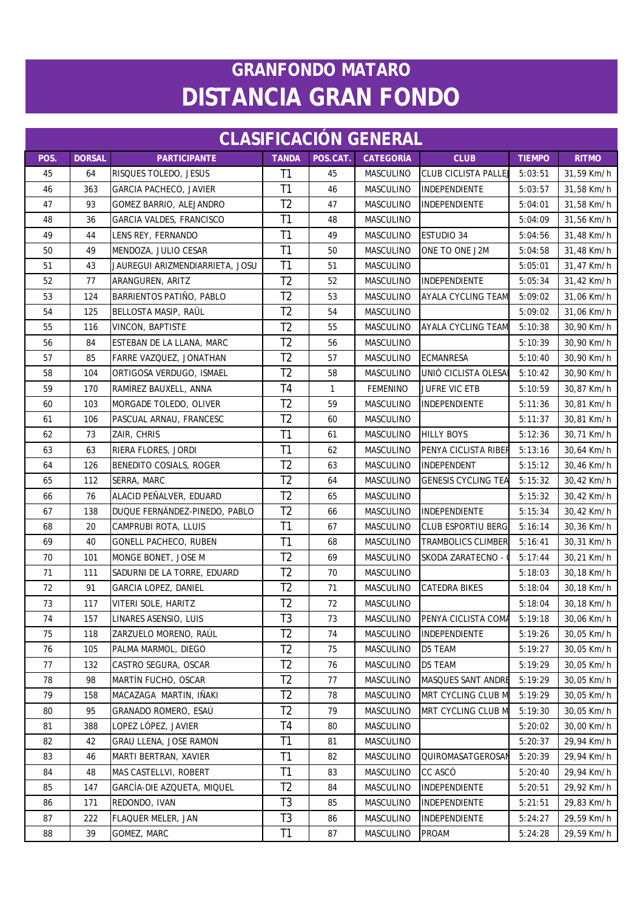| <b>CLASIFICACIÓN GENERAL</b> |               |                                 |                |              |                  |                            |               |              |  |
|------------------------------|---------------|---------------------------------|----------------|--------------|------------------|----------------------------|---------------|--------------|--|
| POS.                         | <b>DORSAL</b> | <b>PARTICIPANTE</b>             | <b>TANDA</b>   | POS.CAT.     | <b>CATEGORÍA</b> | <b>CLUB</b>                | <b>TIEMPO</b> | <b>RITMO</b> |  |
| 45                           | 64            | RISQUES TOLEDO, JESUS           | T1             | 45           | MASCULINO        | <b>CLUB CICLISTA PALLE</b> | 5:03:51       | 31,59 Km/h   |  |
| 46                           | 363           | GARCIA PACHECO, JAVIER          | T <sub>1</sub> | 46           | MASCULINO        | <b>INDEPENDIENTE</b>       | 5:03:57       | 31,58 Km/h   |  |
| 47                           | 93            | GOMEZ BARRIO, ALEJANDRO         | T <sub>2</sub> | 47           | MASCULINO        | <b>INDEPENDIENTE</b>       | 5:04:01       | 31,58 Km/h   |  |
| 48                           | 36            | GARCIA VALDES, FRANCISCO        | T1             | 48           | MASCULINO        |                            | 5:04:09       | 31,56 Km/h   |  |
| 49                           | 44            | LENS REY, FERNANDO              | T <sub>1</sub> | 49           | MASCULINO        | <b>ESTUDIO 34</b>          | 5:04:56       | 31,48 Km/h   |  |
| 50                           | 49            | MENDOZA, JULIO CESAR            | T <sub>1</sub> | 50           | MASCULINO        | ONE TO ONE J2M             | 5:04:58       | 31,48 Km/h   |  |
| 51                           | 43            | JAUREGUI ARIZMENDIARRIETA, JOSU | T1             | 51           | MASCULINO        |                            | 5:05:01       | 31,47 Km/h   |  |
| 52                           | 77            | ARANGUREN, ARITZ                | T <sub>2</sub> | 52           | MASCULINO        | <b>INDEPENDIENTE</b>       | 5:05:34       | 31,42 Km/h   |  |
| 53                           | 124           | BARRIENTOS PATIÑO, PABLO        | T <sub>2</sub> | 53           | MASCULINO        | <b>AYALA CYCLING TEAM</b>  | 5:09:02       | 31,06 Km/h   |  |
| 54                           | 125           | BELLOSTA MASIP, RAÜL            | T <sub>2</sub> | 54           | MASCULINO        |                            | 5:09:02       | 31,06 Km/h   |  |
| 55                           | 116           | <b>VINCON, BAPTISTE</b>         | T <sub>2</sub> | 55           | MASCULINO        | <b>AYALA CYCLING TEAM</b>  | 5:10:38       | 30,90 Km/h   |  |
| 56                           | 84            | ESTEBAN DE LA LLANA, MARC       | T <sub>2</sub> | 56           | <b>MASCULINO</b> |                            | 5:10:39       | 30,90 Km/h   |  |
| 57                           | 85            | FARRE VAZQUEZ, JONATHAN         | T <sub>2</sub> | 57           | MASCULINO        | <b>ECMANRESA</b>           | 5:10:40       | 30,90 Km/h   |  |
| 58                           | 104           | ORTIGOSA VERDUGO, ISMAEL        | T <sub>2</sub> | 58           | MASCULINO        | UNIÓ CICLISTA OLESA        | 5:10:42       | 30,90 Km/h   |  |
| 59                           | 170           | RAMÍREZ BAUXELL, ANNA           | T4             | $\mathbf{1}$ | <b>FEMENINO</b>  | <b>JUFRE VIC ETB</b>       | 5:10:59       | 30,87 Km/h   |  |
| 60                           | 103           | MORGADE TOLEDO, OLIVER          | T <sub>2</sub> | 59           | MASCULINO        | INDEPENDIENTE              | 5:11:36       | 30,81 Km/h   |  |
| 61                           | 106           | PASCUAL ARNAU, FRANCESC         | T <sub>2</sub> | 60           | MASCULINO        |                            | 5:11:37       | 30,81 Km/h   |  |
| 62                           | 73            | ZAIR, CHRIS                     | T1             | 61           | MASCULINO        | <b>HILLY BOYS</b>          | 5:12:36       | 30,71 Km/h   |  |
| 63                           | 63            | RIERA FLORES, JORDI             | T1             | 62           | <b>MASCULINO</b> | PENYA CICLISTA RIBER       | 5:13:16       | 30,64 Km/h   |  |
| 64                           | 126           | <b>BENEDITO COSIALS, ROGER</b>  | T <sub>2</sub> | 63           | MASCULINO        | <b>INDEPENDENT</b>         | 5:15:12       | 30,46 Km/h   |  |
| 65                           | 112           | SERRA, MARC                     | T <sub>2</sub> | 64           | MASCULINO        | <b>GENESIS CYCLING TEA</b> | 5:15:32       | 30,42 Km/h   |  |
| 66                           | 76            | ALACID PEÑALVER, EDUARD         | T <sub>2</sub> | 65           | MASCULINO        |                            | 5:15:32       | 30,42 Km/h   |  |
| 67                           | 138           | DUQUE FERNÁNDEZ-PINEDO, PABLO   | T <sub>2</sub> | 66           | MASCULINO        | INDEPENDIENTE              | 5:15:34       | 30,42 Km/h   |  |
| 68                           | 20            | CAMPRUBI ROTA, LLUIS            | T <sub>1</sub> | 67           | MASCULINO        | <b>CLUB ESPORTIU BERG</b>  | 5:16:14       | 30,36 Km/h   |  |
| 69                           | 40            | <b>GONELL PACHECO, RUBEN</b>    | T <sub>1</sub> | 68           | MASCULINO        | <b>TRAMBOLICS CLIMBER</b>  | 5:16:41       | 30,31 Km/h   |  |
| 70                           | 101           | MONGE BONET, JOSE M             | T <sub>2</sub> | 69           | MASCULINO        | SKODA ZARATECNO -          | 5:17:44       | 30,21 Km/h   |  |
| 71                           | 111           | SADURNI DE LA TORRE, EDUARD     | T <sub>2</sub> | 70           | MASCULINO        |                            | 5:18:03       | 30,18 Km/h   |  |
| 72                           | 91            | GARCIA LOPEZ, DANIEL            | T <sub>2</sub> | 71           | MASCULINO        | <b>CATEDRA BIKES</b>       | 5:18:04       | 30,18 Km/h   |  |
| 73                           | 117           | VITERI SOLE, HARITZ             | T <sub>2</sub> | 72           | MASCULINO        |                            | 5:18:04       | 30,18 Km/h   |  |
| 74                           | 157           | LINARES ASENSIO, LUIS           | T3             | 73           | MASCULINO        | PENYA CICLISTA COMA        | 5:19:18       | 30,06 Km/h   |  |
| 75                           | 118           | ZARZUELO MORENO, RAÚL           | T <sub>2</sub> | 74           | MASCULINO        | <b>INDEPENDIENTE</b>       | 5:19:26       | 30,05 Km/h   |  |
| 76                           | 105           | PALMA MARMOL, DIEGO             | T <sub>2</sub> | 75           | MASCULINO        | D5 TEAM                    | 5:19:27       | 30,05 Km/h   |  |
| 77                           | 132           | CASTRO SEGURA, OSCAR            | T <sub>2</sub> | 76           | MASCULINO        | D5 TEAM                    | 5:19:29       | 30,05 Km/h   |  |
| 78                           | 98            | MARTÍN FUCHO, OSCAR             | T <sub>2</sub> | 77           | MASCULINO        | <b>MASQUES SANT ANDRE</b>  | 5:19:29       | 30,05 Km/h   |  |
| 79                           | 158           | MACAZAGA MARTIN, IÑAKI          | T <sub>2</sub> | 78           | MASCULINO        | MRT CYCLING CLUB M         | 5:19:29       | 30,05 Km/h   |  |
| 80                           | 95            | GRANADO ROMERO, ESAÚ            | T <sub>2</sub> | 79           | MASCULINO        | MRT CYCLING CLUB M         | 5:19:30       | 30,05 Km/h   |  |
| 81                           | 388           | LOPEZ LÓPEZ, JAVIER             | T4             | 80           | <b>MASCULINO</b> |                            | 5:20:02       | 30,00 Km/h   |  |
| 82                           | 42            | GRAU LLENA, JOSE RAMON          | T <sub>1</sub> | 81           | MASCULINO        |                            | 5:20:37       | 29,94 Km/h   |  |
| 83                           | 46            | MARTI BERTRAN, XAVIER           | T1             | 82           | MASCULINO        | QUIROMASATGEROSAN          | 5:20:39       | 29,94 Km/h   |  |
| 84                           | 48            | MAS CASTELLVI, ROBERT           | T <sub>1</sub> | 83           | MASCULINO        | CC ASCÓ                    | 5:20:40       | 29,94 Km/h   |  |
| 85                           | 147           | GARCÍA-DIE AZQUETA, MIQUEL      | T <sub>2</sub> | 84           | MASCULINO        | <b>INDEPENDIENTE</b>       | 5:20:51       | 29,92 Km/h   |  |
| 86                           | 171           | REDONDO, IVAN                   | T <sub>3</sub> | 85           | MASCULINO        | INDEPENDIENTE              | 5:21:51       | 29,83 Km/h   |  |
| 87                           | 222           | FLAQUER MELER, JAN              | T <sub>3</sub> | 86           | MASCULINO        | <b>INDEPENDIENTE</b>       | 5:24:27       | 29,59 Km/h   |  |
| 88                           | 39            | GOMEZ, MARC                     | T1             | 87           | MASCULINO        | <b>PROAM</b>               | 5:24:28       | 29,59 Km/h   |  |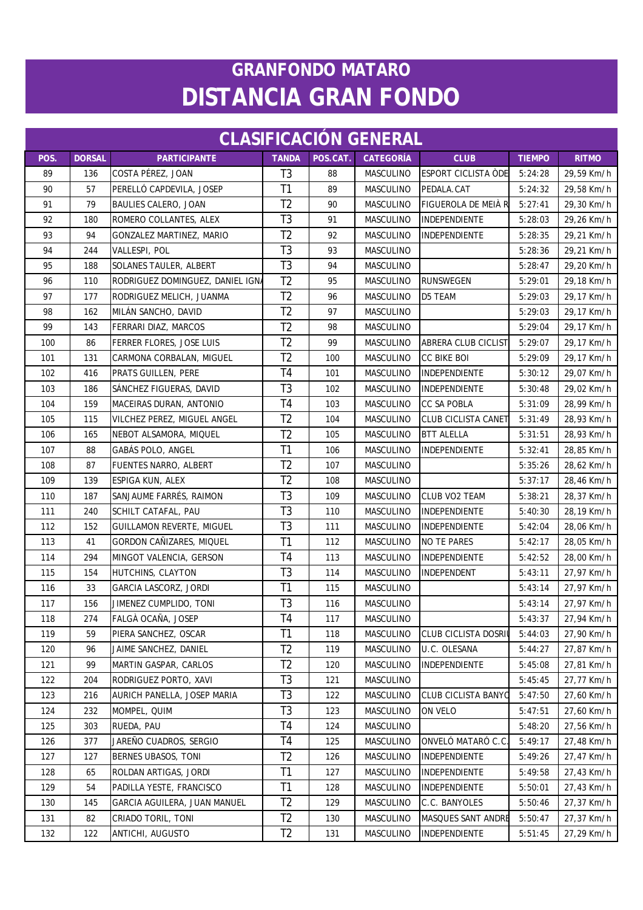| <b>CLASIFICACIÓN GENERAL</b> |               |                                  |                |          |                  |                            |               |              |  |  |
|------------------------------|---------------|----------------------------------|----------------|----------|------------------|----------------------------|---------------|--------------|--|--|
| POS.                         | <b>DORSAL</b> | <b>PARTICIPANTE</b>              | <b>TANDA</b>   | POS.CAT. | <b>CATEGORÍA</b> | <b>CLUB</b>                | <b>TIEMPO</b> | <b>RITMO</b> |  |  |
| 89                           | 136           | COSTA PÉREZ, JOAN                | T <sub>3</sub> | 88       | MASCULINO        | ESPORT CICLISTA ODE        | 5:24:28       | 29,59 Km/h   |  |  |
| 90                           | 57            | PERELLÓ CAPDEVILA, JOSEP         | T <sub>1</sub> | 89       | MASCULINO        | PEDALA.CAT                 | 5:24:32       | 29,58 Km/h   |  |  |
| 91                           | 79            | <b>BAULIES CALERO, JOAN</b>      | T <sub>2</sub> | 90       | MASCULINO        | FIGUEROLA DE MEIÀ R        | 5:27:41       | 29,30 Km/h   |  |  |
| 92                           | 180           | ROMERO COLLANTES, ALEX           | T <sub>3</sub> | 91       | MASCULINO        | INDEPENDIENTE              | 5:28:03       | 29,26 Km/h   |  |  |
| 93                           | 94            | GONZALEZ MARTINEZ, MARIO         | T <sub>2</sub> | 92       | MASCULINO        | <b>INDEPENDIENTE</b>       | 5:28:35       | 29,21 Km/h   |  |  |
| 94                           | 244           | VALLESPI, POL                    | T <sub>3</sub> | 93       | MASCULINO        |                            | 5:28:36       | 29,21 Km/h   |  |  |
| 95                           | 188           | SOLANES TAULER, ALBERT           | T <sub>3</sub> | 94       | MASCULINO        |                            | 5:28:47       | 29,20 Km/h   |  |  |
| 96                           | 110           | RODRIGUEZ DOMINGUEZ, DANIEL IGNA | T <sub>2</sub> | 95       | MASCULINO        | <b>RUNSWEGEN</b>           | 5:29:01       | 29,18 Km/h   |  |  |
| 97                           | 177           | RODRIGUEZ MELICH, JUANMA         | T <sub>2</sub> | 96       | MASCULINO        | D5 TEAM                    | 5:29:03       | 29,17 Km/h   |  |  |
| 98                           | 162           | MILÁN SANCHO, DAVID              | T <sub>2</sub> | 97       | <b>MASCULINO</b> |                            | 5:29:03       | 29,17 Km/h   |  |  |
| 99                           | 143           | FERRARI DIAZ, MARCOS             | T <sub>2</sub> | 98       | MASCULINO        |                            | 5:29:04       | 29,17 Km/h   |  |  |
| 100                          | 86            | FERRER FLORES, JOSE LUIS         | T <sub>2</sub> | 99       | MASCULINO        | <b>ABRERA CLUB CICLIST</b> | 5:29:07       | 29,17 Km/h   |  |  |
| 101                          | 131           | CARMONA CORBALAN, MIGUEL         | T <sub>2</sub> | 100      | MASCULINO        | <b>CC BIKE BOI</b>         | 5:29:09       | 29,17 Km/h   |  |  |
| 102                          | 416           | PRATS GUILLEN, PERE              | T <sub>4</sub> | 101      | MASCULINO        | <b>INDEPENDIENTE</b>       | 5:30:12       | 29,07 Km/h   |  |  |
| 103                          | 186           | SÁNCHEZ FIGUERAS, DAVID          | T <sub>3</sub> | 102      | MASCULINO        | INDEPENDIENTE              | 5:30:48       | 29,02 Km/h   |  |  |
| 104                          | 159           | MACEIRAS DURAN, ANTONIO          | T <sub>4</sub> | 103      | MASCULINO        | <b>CC SA POBLA</b>         | 5:31:09       | 28,99 Km/h   |  |  |
| 105                          | 115           | VILCHEZ PEREZ, MIGUEL ANGEL      | T <sub>2</sub> | 104      | <b>MASCULINO</b> | <b>CLUB CICLISTA CANET</b> | 5:31:49       | 28,93 Km/h   |  |  |
| 106                          | 165           | NEBOT ALSAMORA, MIQUEL           | T <sub>2</sub> | 105      | MASCULINO        | <b>BTT ALELLA</b>          | 5:31:51       | 28,93 Km/h   |  |  |
| 107                          | 88            | GABÁS POLO, ANGEL                | T1             | 106      | MASCULINO        | INDEPENDIENTE              | 5:32:41       | 28,85 Km/h   |  |  |
| 108                          | 87            | FUENTES NARRO, ALBERT            | T <sub>2</sub> | 107      | MASCULINO        |                            | 5:35:26       | 28,62 Km/h   |  |  |
| 109                          | 139           | ESPIGA KUN, ALEX                 | T <sub>2</sub> | 108      | <b>MASCULINO</b> |                            | 5:37:17       | 28,46 Km/h   |  |  |
| 110                          | 187           | SANJAUME FARRÉS, RAIMON          | T <sub>3</sub> | 109      | MASCULINO        | CLUB VO2 TEAM              | 5:38:21       | 28,37 Km/h   |  |  |
| 111                          | 240           | SCHILT CATAFAL, PAU              | T <sub>3</sub> | 110      | MASCULINO        | <b>INDEPENDIENTE</b>       | 5:40:30       | 28,19 Km/h   |  |  |
| 112                          | 152           | GUILLAMON REVERTE, MIGUEL        | T <sub>3</sub> | 111      | MASCULINO        | <b>INDEPENDIENTE</b>       | 5:42:04       | 28,06 Km/h   |  |  |
| 113                          | 41            | GORDON CAÑIZARES, MIQUEL         | T1             | 112      | MASCULINO        | <b>NO TE PARES</b>         | 5:42:17       | 28,05 Km/h   |  |  |
| 114                          | 294           | MINGOT VALENCIA, GERSON          | T <sub>4</sub> | 113      | MASCULINO        | INDEPENDIENTE              | 5:42:52       | 28,00 Km/h   |  |  |
| 115                          | 154           | HUTCHINS, CLAYTON                | T <sub>3</sub> | 114      | MASCULINO        | INDEPENDENT                | 5:43:11       | 27,97 Km/h   |  |  |
| 116                          | 33            | <b>GARCIA LASCORZ, JORDI</b>     | T1             | 115      | MASCULINO        |                            | 5:43:14       | 27,97 Km/h   |  |  |
| 117                          | 156           | JIMENEZ CUMPLIDO, TONI           | T <sub>3</sub> | 116      | MASCULINO        |                            | 5:43:14       | 27,97 Km/h   |  |  |
| 118                          | 274           | FALGÀ OCAÑA, JOSEP               | T4             | 117      | MASCULINO        |                            | 5:43:37       | 27,94 Km/h   |  |  |
| 119                          | 59            | PIERA SANCHEZ, OSCAR             | T1             | 118      | MASCULINO        | CLUB CICLISTA DOSRII       | 5:44:03       | 27,90 Km/h   |  |  |
| 120                          | 96            | JAIME SANCHEZ, DANIEL            | T <sub>2</sub> | 119      | MASCULINO        | U.C. OLESANA               | 5:44:27       | 27,87 Km/h   |  |  |
| 121                          | 99            | MARTIN GASPAR, CARLOS            | T <sub>2</sub> | 120      | MASCULINO        | INDEPENDIENTE              | 5:45:08       | 27,81 Km/h   |  |  |
| 122                          | 204           | RODRIGUEZ PORTO, XAVI            | T <sub>3</sub> | 121      | MASCULINO        |                            | 5:45:45       | 27,77 Km/h   |  |  |
| 123                          | 216           | AURICH PANELLA, JOSEP MARIA      | T <sub>3</sub> | 122      | MASCULINO        | <b>CLUB CICLISTA BANYC</b> | 5:47:50       | 27,60 Km/h   |  |  |
| 124                          | 232           | MOMPEL, QUIM                     | T <sub>3</sub> | 123      | MASCULINO        | ON VELO                    | 5:47:51       | 27,60 Km/h   |  |  |
| 125                          | 303           | RUEDA, PAU                       | T <sub>4</sub> | 124      | MASCULINO        |                            | 5:48:20       | 27,56 Km/h   |  |  |
| 126                          | 377           | JAREÑO CUADROS, SERGIO           | T4             | 125      | MASCULINO        | ONVELÓ MATARÓ C.C          | 5:49:17       | 27,48 Km/h   |  |  |
| 127                          | 127           | BERNES UBASOS, TONI              | T <sub>2</sub> | 126      | MASCULINO        | INDEPENDIENTE              | 5:49:26       | 27,47 Km/h   |  |  |
| 128                          | 65            | ROLDAN ARTIGAS, JORDI            | T1             | 127      | MASCULINO        | <b>INDEPENDIENTE</b>       | 5:49:58       | 27,43 Km/h   |  |  |
| 129                          | 54            | PADILLA YESTE, FRANCISCO         | T1             | 128      | MASCULINO        | INDEPENDIENTE              | 5:50:01       | 27,43 Km/h   |  |  |
| 130                          | 145           | GARCIA AGUILERA, JUAN MANUEL     | T <sub>2</sub> | 129      | MASCULINO        | C.C. BANYOLES              | 5:50:46       | 27,37 Km/h   |  |  |
| 131                          | 82            | CRIADO TORIL, TONI               | T <sub>2</sub> | 130      | MASCULINO        | MASQUES SANT ANDRE         | 5:50:47       | 27,37 Km/h   |  |  |
| 132                          | 122           | ANTICHI, AUGUSTO                 | T <sub>2</sub> | 131      | MASCULINO        | INDEPENDIENTE              | 5:51:45       | 27,29 Km/h   |  |  |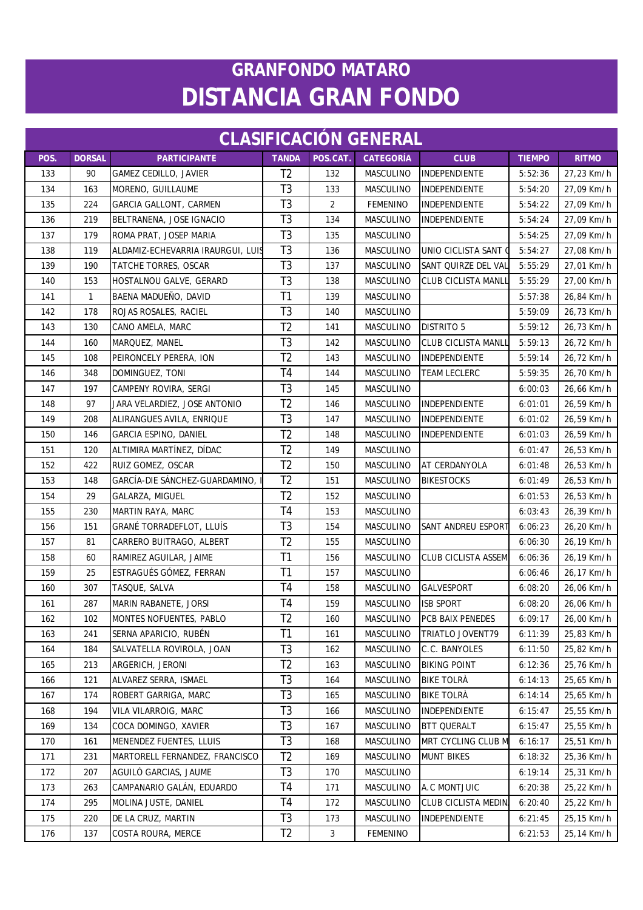| <b>CLASIFICACIÓN GENERAL</b> |               |                                   |                |                |                  |                            |               |              |  |  |
|------------------------------|---------------|-----------------------------------|----------------|----------------|------------------|----------------------------|---------------|--------------|--|--|
| POS.                         | <b>DORSAL</b> | <b>PARTICIPANTE</b>               | <b>TANDA</b>   | POS.CAT.       | <b>CATEGORÍA</b> | <b>CLUB</b>                | <b>TIEMPO</b> | <b>RITMO</b> |  |  |
| 133                          | 90            | <b>GAMEZ CEDILLO, JAVIER</b>      | T <sub>2</sub> | 132            | MASCULINO        | INDEPENDIENTE              | 5:52:36       | 27,23 Km/h   |  |  |
| 134                          | 163           | MORENO, GUILLAUME                 | T <sub>3</sub> | 133            | <b>MASCULINO</b> | <b>INDEPENDIENTE</b>       | 5:54:20       | 27,09 Km/h   |  |  |
| 135                          | 224           | <b>GARCIA GALLONT, CARMEN</b>     | T <sub>3</sub> | $\overline{2}$ | <b>FEMENINO</b>  | INDEPENDIENTE              | 5:54:22       | 27,09 Km/h   |  |  |
| 136                          | 219           | BELTRANENA, JOSE IGNACIO          | T <sub>3</sub> | 134            | MASCULINO        | INDEPENDIENTE              | 5:54:24       | 27,09 Km/h   |  |  |
| 137                          | 179           | ROMA PRAT, JOSEP MARIA            | T <sub>3</sub> | 135            | MASCULINO        |                            | 5:54:25       | 27,09 Km/h   |  |  |
| 138                          | 119           | ALDAMIZ-ECHEVARRIA IRAURGUI, LUIS | T <sub>3</sub> | 136            | MASCULINO        | UNIO CICLISTA SANT (       | 5:54:27       | 27,08 Km/h   |  |  |
| 139                          | 190           | TATCHE TORRES, OSCAR              | T <sub>3</sub> | 137            | MASCULINO        | SANT QUIRZE DEL VAL        | 5:55:29       | 27,01 Km/h   |  |  |
| 140                          | 153           | HOSTALNOU GALVE, GERARD           | T <sub>3</sub> | 138            | MASCULINO        | <b>CLUB CICLISTA MANLI</b> | 5:55:29       | 27,00 Km/h   |  |  |
| 141                          | $\mathbf{1}$  | BAENA MADUEÑO, DAVID              | T1             | 139            | <b>MASCULINO</b> |                            | 5:57:38       | 26,84 Km/h   |  |  |
| 142                          | 178           | ROJAS ROSALES, RACIEL             | T <sub>3</sub> | 140            | MASCULINO        |                            | 5:59:09       | 26,73 Km/h   |  |  |
| 143                          | 130           | CANO AMELA, MARC                  | T <sub>2</sub> | 141            | MASCULINO        | <b>DISTRITO 5</b>          | 5:59:12       | 26,73 Km/h   |  |  |
| 144                          | 160           | MARQUEZ, MANEL                    | T <sub>3</sub> | 142            | MASCULINO        | <b>CLUB CICLISTA MANLL</b> | 5:59:13       | 26,72 Km/h   |  |  |
| 145                          | 108           | PEIRONCELY PERERA, ION            | T <sub>2</sub> | 143            | MASCULINO        | <b>INDEPENDIENTE</b>       | 5:59:14       | 26,72 Km/h   |  |  |
| 146                          | 348           | DOMINGUEZ, TONI                   | T <sub>4</sub> | 144            | MASCULINO        | <b>TEAM LECLERC</b>        | 5:59:35       | 26,70 Km/h   |  |  |
| 147                          | 197           | CAMPENY ROVIRA, SERGI             | T <sub>3</sub> | 145            | MASCULINO        |                            | 6:00:03       | 26,66 Km/h   |  |  |
| 148                          | 97            | JARA VELARDIEZ, JOSE ANTONIO      | T <sub>2</sub> | 146            | MASCULINO        | INDEPENDIENTE              | 6:01:01       | 26,59 Km/h   |  |  |
| 149                          | 208           | ALIRANGUES AVILA, ENRIQUE         | T <sub>3</sub> | 147            | <b>MASCULINO</b> | <b>INDEPENDIENTE</b>       | 6:01:02       | 26,59 Km/h   |  |  |
| 150                          | 146           | GARCIA ESPINO, DANIEL             | T <sub>2</sub> | 148            | MASCULINO        | INDEPENDIENTE              | 6:01:03       | 26,59 Km/h   |  |  |
| 151                          | 120           | ALTIMIRA MARTÍNEZ, DÍDAC          | T <sub>2</sub> | 149            | MASCULINO        |                            | 6:01:47       | 26,53 Km/h   |  |  |
| 152                          | 422           | RUIZ GOMEZ, OSCAR                 | T <sub>2</sub> | 150            | MASCULINO        | AT CERDANYOLA              | 6:01:48       | 26,53 Km/h   |  |  |
| 153                          | 148           | GARCÍA-DIE SÁNCHEZ-GUARDAMINO,    | T <sub>2</sub> | 151            | MASCULINO        | <b>BIKESTOCKS</b>          | 6:01:49       | 26,53 Km/h   |  |  |
| 154                          | 29            | GALARZA, MIGUEL                   | T <sub>2</sub> | 152            | MASCULINO        |                            | 6:01:53       | 26,53 Km/h   |  |  |
| 155                          | 230           | MARTIN RAYA, MARC                 | T <sub>4</sub> | 153            | MASCULINO        |                            | 6:03:43       | 26,39 Km/h   |  |  |
| 156                          | 151           | GRANÉ TORRADEFLOT, LLUÍS          | T <sub>3</sub> | 154            | <b>MASCULINO</b> | SANT ANDREU ESPORT         | 6:06:23       | 26,20 Km/h   |  |  |
| 157                          | 81            | CARRERO BUITRAGO, ALBERT          | T <sub>2</sub> | 155            | MASCULINO        |                            | 6:06:30       | 26,19 Km/h   |  |  |
| 158                          | 60            | RAMIREZ AGUILAR, JAIME            | T1             | 156            | MASCULINO        | CLUB CICLISTA ASSEM        | 6:06:36       | 26,19 Km/h   |  |  |
| 159                          | 25            | ESTRAGUÉS GÓMEZ, FERRAN           | T1             | 157            | MASCULINO        |                            | 6:06:46       | 26,17 Km/h   |  |  |
| 160                          | 307           | TASQUE, SALVA                     | T <sub>4</sub> | 158            | MASCULINO        | <b>GALVESPORT</b>          | 6:08:20       | 26,06 Km/h   |  |  |
| 161                          | 287           | MARIN RABANETE, JORSI             | T <sub>4</sub> | 159            | MASCULINO        | <b>ISB SPORT</b>           | 6:08:20       | 26,06 Km/h   |  |  |
| 162                          | 102           | MONTES NOFUENTES, PABLO           | T <sub>2</sub> | 160            | MASCULINO        | PCB BAIX PENEDES           | 6:09:17       | 26,00 Km/h   |  |  |
| 163                          | 241           | SERNA APARICIO, RUBÉN             | T1             | 161            | MASCULINO        | <b>TRIATLO JOVENT79</b>    | 6:11:39       | 25,83 Km/h   |  |  |
| 164                          | 184           | SALVATELLA ROVIROLA, JOAN         | T <sub>3</sub> | 162            | MASCULINO        | C.C. BANYOLES              | 6:11:50       | 25,82 Km/h   |  |  |
| 165                          | 213           | ARGERICH, JERONI                  | T <sub>2</sub> | 163            | MASCULINO        | <b>BIKING POINT</b>        | 6:12:36       | 25,76 Km/h   |  |  |
| 166                          | 121           | ALVAREZ SERRA, ISMAEL             | T <sub>3</sub> | 164            | MASCULINO        | <b>BIKE TOLRA</b>          | 6:14:13       | 25,65 Km/h   |  |  |
| 167                          | 174           | ROBERT GARRIGA, MARC              | T <sub>3</sub> | 165            | MASCULINO        | <b>BIKE TOLRA</b>          | 6:14:14       | 25,65 Km/h   |  |  |
| 168                          | 194           | VILA VILARROIG, MARC              | T <sub>3</sub> | 166            | MASCULINO        | INDEPENDIENTE              | 6:15:47       | 25,55 Km/h   |  |  |
| 169                          | 134           | COCA DOMINGO, XAVIER              | T <sub>3</sub> | 167            | MASCULINO        | <b>BTT QUERALT</b>         | 6:15:47       | 25,55 Km/h   |  |  |
| 170                          | 161           | <b>MENENDEZ FUENTES, LLUIS</b>    | T <sub>3</sub> | 168            | MASCULINO        | MRT CYCLING CLUB M         | 6:16:17       | 25,51 Km/h   |  |  |
| 171                          | 231           | MARTORELL FERNANDEZ, FRANCISCO    | T <sub>2</sub> | 169            | MASCULINO        | <b>MUNT BIKES</b>          | 6:18:32       | 25,36 Km/h   |  |  |
| 172                          | 207           | AGUILÓ GARCIAS, JAUME             | T <sub>3</sub> | 170            | MASCULINO        |                            | 6:19:14       | 25,31 Km/h   |  |  |
| 173                          | 263           | CAMPANARIO GALÁN, EDUARDO         | T <sub>4</sub> | 171            | MASCULINO        | A.C MONTJUIC               | 6:20:38       | 25,22 Km/h   |  |  |
| 174                          | 295           | MOLINA JUSTE, DANIEL              | T4             | 172            | MASCULINO        | CLUB CICLISTA MEDIN        | 6:20:40       | 25,22 Km/h   |  |  |
| 175                          | 220           | DE LA CRUZ, MARTIN                | T <sub>3</sub> | 173            | MASCULINO        | INDEPENDIENTE              | 6:21:45       | 25,15 Km/h   |  |  |
| 176                          | 137           | COSTA ROURA, MERCE                | T <sub>2</sub> | $\mathfrak{Z}$ | <b>FEMENINO</b>  |                            | 6:21:53       | 25,14 Km/h   |  |  |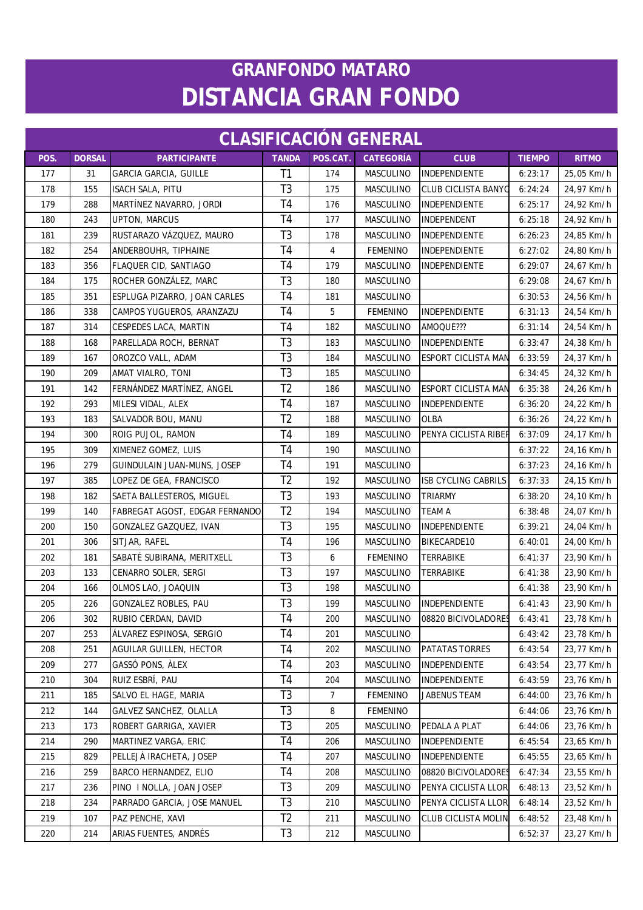| <b>CLASIFICACIÓN GENERAL</b> |               |                                |                |                |                  |                            |               |              |  |  |
|------------------------------|---------------|--------------------------------|----------------|----------------|------------------|----------------------------|---------------|--------------|--|--|
| POS.                         | <b>DORSAL</b> | <b>PARTICIPANTE</b>            | <b>TANDA</b>   | POS.CAT.       | <b>CATEGORÍA</b> | <b>CLUB</b>                | <b>TIEMPO</b> | <b>RITMO</b> |  |  |
| 177                          | 31            | <b>GARCIA GARCIA, GUILLE</b>   | T1             | 174            | MASCULINO        | INDEPENDIENTE              | 6:23:17       | 25,05 Km/h   |  |  |
| 178                          | 155           | ISACH SALA, PITU               | T <sub>3</sub> | 175            | <b>MASCULINO</b> | <b>CLUB CICLISTA BANYO</b> | 6:24:24       | 24,97 Km/h   |  |  |
| 179                          | 288           | MARTÍNEZ NAVARRO, JORDI        | T <sub>4</sub> | 176            | MASCULINO        | <b>INDEPENDIENTE</b>       | 6:25:17       | 24,92 Km/h   |  |  |
| 180                          | 243           | <b>UPTON, MARCUS</b>           | T <sub>4</sub> | 177            | MASCULINO        | <b>INDEPENDENT</b>         | 6:25:18       | 24,92 Km/h   |  |  |
| 181                          | 239           | RUSTARAZO VÁZQUEZ, MAURO       | T <sub>3</sub> | 178            | MASCULINO        | <b>INDEPENDIENTE</b>       | 6:26:23       | 24,85 Km/h   |  |  |
| 182                          | 254           | ANDERBOUHR, TIPHAINE           | T <sub>4</sub> | $\overline{4}$ | <b>FEMENINO</b>  | <b>INDEPENDIENTE</b>       | 6:27:02       | 24,80 Km/h   |  |  |
| 183                          | 356           | FLAQUER CID, SANTIAGO          | T4             | 179            | MASCULINO        | <b>INDEPENDIENTE</b>       | 6:29:07       | 24,67 Km/h   |  |  |
| 184                          | 175           | ROCHER GONZÁLEZ, MARC          | T <sub>3</sub> | 180            | MASCULINO        |                            | 6:29:08       | 24,67 Km/h   |  |  |
| 185                          | 351           | ESPLUGA PIZARRO, JOAN CARLES   | T <sub>4</sub> | 181            | MASCULINO        |                            | 6:30:53       | 24,56 Km/h   |  |  |
| 186                          | 338           | CAMPOS YUGUEROS, ARANZAZU      | T <sub>4</sub> | 5              | <b>FEMENINO</b>  | <b>INDEPENDIENTE</b>       | 6:31:13       | 24,54 Km/h   |  |  |
| 187                          | 314           | CESPEDES LACA, MARTIN          | T <sub>4</sub> | 182            | MASCULINO        | AMOQUE???                  | 6:31:14       | 24,54 Km/h   |  |  |
| 188                          | 168           | PARELLADA ROCH, BERNAT         | T <sub>3</sub> | 183            | MASCULINO        | <b>INDEPENDIENTE</b>       | 6:33:47       | 24,38 Km/h   |  |  |
| 189                          | 167           | OROZCO VALL, ADAM              | T <sub>3</sub> | 184            | MASCULINO        | <b>ESPORT CICLISTA MAN</b> | 6:33:59       | 24,37 Km/h   |  |  |
| 190                          | 209           | AMAT VIALRO, TONI              | T <sub>3</sub> | 185            | MASCULINO        |                            | 6:34:45       | 24,32 Km/h   |  |  |
| 191                          | 142           | FERNÁNDEZ MARTÍNEZ, ANGEL      | T <sub>2</sub> | 186            | MASCULINO        | <b>ESPORT CICLISTA MAN</b> | 6:35:38       | 24,26 Km/h   |  |  |
| 192                          | 293           | MILESI VIDAL, ALEX             | T <sub>4</sub> | 187            | MASCULINO        | INDEPENDIENTE              | 6:36:20       | 24,22 Km/h   |  |  |
| 193                          | 183           | SALVADOR BOU, MANU             | T <sub>2</sub> | 188            | MASCULINO        | <b>OLBA</b>                | 6:36:26       | 24,22 Km/h   |  |  |
| 194                          | 300           | ROIG PUJOL, RAMON              | T <sub>4</sub> | 189            | MASCULINO        | PENYA CICLISTA RIBER       | 6:37:09       | 24,17 Km/h   |  |  |
| 195                          | 309           | XIMENEZ GOMEZ, LUIS            | T4             | 190            | MASCULINO        |                            | 6:37:22       | 24,16 Km/h   |  |  |
| 196                          | 279           | GUINDULAIN JUAN-MUNS, JOSEP    | T <sub>4</sub> | 191            | MASCULINO        |                            | 6:37:23       | 24,16 Km/h   |  |  |
| 197                          | 385           | LOPEZ DE GEA, FRANCISCO        | T <sub>2</sub> | 192            | MASCULINO        | <b>ISB CYCLING CABRILS</b> | 6:37:33       | 24,15 Km/h   |  |  |
| 198                          | 182           | SAETA BALLESTEROS, MIGUEL      | T <sub>3</sub> | 193            | MASCULINO        | <b>TRIARMY</b>             | 6:38:20       | 24,10 Km/h   |  |  |
| 199                          | 140           | FABREGAT AGOST, EDGAR FERNANDO | T <sub>2</sub> | 194            | MASCULINO        | <b>TEAM A</b>              | 6:38:48       | 24,07 Km/h   |  |  |
| 200                          | 150           | GONZALEZ GAZQUEZ, IVAN         | T <sub>3</sub> | 195            | MASCULINO        | <b>INDEPENDIENTE</b>       | 6:39:21       | 24,04 Km/h   |  |  |
| 201                          | 306           | SITJAR, RAFEL                  | T <sub>4</sub> | 196            | MASCULINO        | <b>BIKECARDE10</b>         | 6:40:01       | 24,00 Km/h   |  |  |
| 202                          | 181           | SABATÉ SUBIRANA, MERITXELL     | T <sub>3</sub> | 6              | <b>FEMENINO</b>  | <b>TERRABIKE</b>           | 6:41:37       | 23,90 Km/h   |  |  |
| 203                          | 133           | CENARRO SOLER, SERGI           | T <sub>3</sub> | 197            | MASCULINO        | <b>TERRABIKE</b>           | 6:41:38       | 23,90 Km/h   |  |  |
| 204                          | 166           | OLMOS LAO, JOAQUIN             | T <sub>3</sub> | 198            | <b>MASCULINO</b> |                            | 6:41:38       | 23,90 Km/h   |  |  |
| 205                          | 226           | GONZALEZ ROBLES, PAU           | T <sub>3</sub> | 199            | MASCULINO        | <b>INDEPENDIENTE</b>       | 6:41:43       | 23,90 Km/h   |  |  |
| 206                          | 302           | RUBIO CERDAN, DAVID            | T4             | 200            | MASCULINO        | 08820 BICIVOLADORES        | 6:43:41       | 23,78 Km/h   |  |  |
| 207                          | 253           | ÁLVAREZ ESPINOSA, SERGIO       | T <sub>4</sub> | 201            | MASCULINO        |                            | 6:43:42       | 23,78 Km/h   |  |  |
| 208                          | 251           | AGUILAR GUILLEN, HECTOR        | T4             | 202            | MASCULINO        | <b>PATATAS TORRES</b>      | 6:43:54       | 23,77 Km/h   |  |  |
| 209                          | 277           | GASSÓ PONS, ALEX               | T <sub>4</sub> | 203            | MASCULINO        | <b>INDEPENDIENTE</b>       | 6:43:54       | 23,77 Km/h   |  |  |
| 210                          | 304           | RUIZ ESBRÍ, PAU                | T4             | 204            | MASCULINO        | INDEPENDIENTE              | 6:43:59       | 23,76 Km/h   |  |  |
| 211                          | 185           | SALVO EL HAGE, MARIA           | T <sub>3</sub> | 7              | <b>FEMENINO</b>  | JABENUS TEAM               | 6:44:00       | 23,76 Km/h   |  |  |
| 212                          | 144           | GALVEZ SANCHEZ, OLALLA         | T <sub>3</sub> | 8              | <b>FEMENINO</b>  |                            | 6:44:06       | 23,76 Km/h   |  |  |
| 213                          | 173           | ROBERT GARRIGA, XAVIER         | T <sub>3</sub> | 205            | MASCULINO        | PEDALA A PLAT              | 6:44:06       | 23,76 Km/h   |  |  |
| 214                          | 290           | MARTINEZ VARGA, ERIC           | T4             | 206            | MASCULINO        | <b>INDEPENDIENTE</b>       | 6:45:54       | 23,65 Km/h   |  |  |
| 215                          | 829           | PELLEJÁ IRACHETA, JOSEP        | T4             | 207            | MASCULINO        | <b>INDEPENDIENTE</b>       | 6:45:55       | 23,65 Km/h   |  |  |
| 216                          | 259           | BARCO HERNANDEZ, ELIO          | T4             | 208            | MASCULINO        | 08820 BICIVOLADORES        | 6:47:34       | 23,55 Km/h   |  |  |
| 217                          | 236           | PINO I NOLLA, JOAN JOSEP       | T <sub>3</sub> | 209            | MASCULINO        | PENYA CICLISTA LLOR        | 6:48:13       | 23,52 Km/h   |  |  |
| 218                          | 234           | PARRADO GARCIA, JOSE MANUEL    | T <sub>3</sub> | 210            | MASCULINO        | PENYA CICLISTA LLOR        | 6:48:14       | 23,52 Km/h   |  |  |
| 219                          | 107           | PAZ PENCHE, XAVI               | T <sub>2</sub> | 211            | MASCULINO        | <b>CLUB CICLISTA MOLIN</b> | 6:48:52       | 23,48 Km/h   |  |  |
| 220                          | 214           | ARIAS FUENTES, ANDRÉS          | T <sub>3</sub> | 212            | MASCULINO        |                            | 6:52:37       | 23,27 Km/h   |  |  |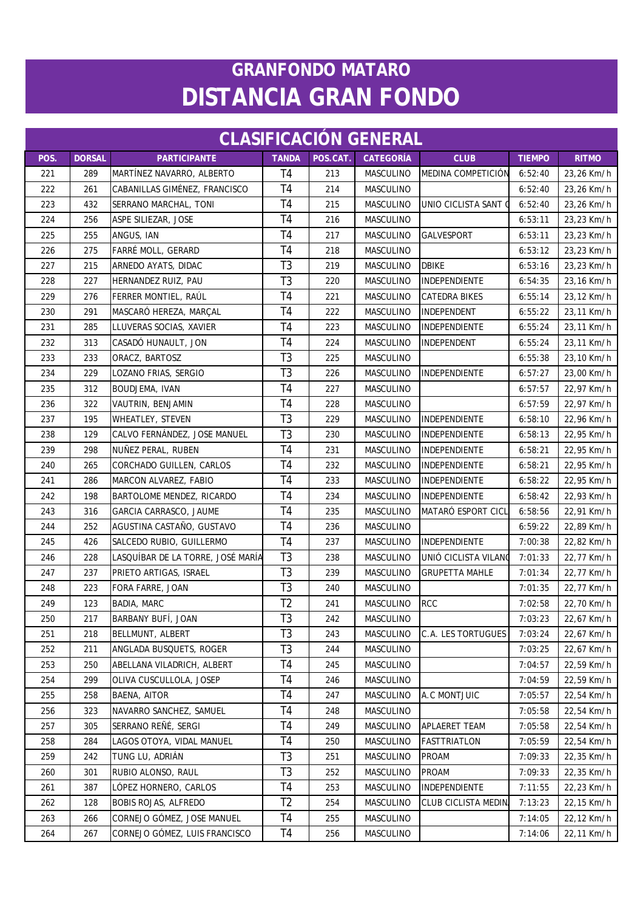| <b>CLASIFICACIÓN GENERAL</b> |               |                                   |                |          |                  |                            |               |              |  |  |
|------------------------------|---------------|-----------------------------------|----------------|----------|------------------|----------------------------|---------------|--------------|--|--|
| POS.                         | <b>DORSAL</b> | <b>PARTICIPANTE</b>               | <b>TANDA</b>   | POS.CAT. | <b>CATEGORÍA</b> | <b>CLUB</b>                | <b>TIEMPO</b> | <b>RITMO</b> |  |  |
| 221                          | 289           | MARTÍNEZ NAVARRO, ALBERTO         | T <sub>4</sub> | 213      | MASCULINO        | MEDINA COMPETICIÓN         | 6:52:40       | 23,26 Km/h   |  |  |
| 222                          | 261           | CABANILLAS GIMÉNEZ, FRANCISCO     | T <sub>4</sub> | 214      | MASCULINO        |                            | 6:52:40       | 23,26 Km/h   |  |  |
| 223                          | 432           | SERRANO MARCHAL, TONI             | T <sub>4</sub> | 215      | MASCULINO        | UNIO CICLISTA SANT (       | 6:52:40       | 23,26 Km/h   |  |  |
| 224                          | 256           | ASPE SILIEZAR, JOSE               | T <sub>4</sub> | 216      | MASCULINO        |                            | 6:53:11       | 23,23 Km/h   |  |  |
| 225                          | 255           | ANGUS, IAN                        | T <sub>4</sub> | 217      | MASCULINO        | <b>GALVESPORT</b>          | 6:53:11       | 23,23 Km/h   |  |  |
| 226                          | 275           | FARRÉ MOLL, GERARD                | T <sub>4</sub> | 218      | <b>MASCULINO</b> |                            | 6:53:12       | 23,23 Km/h   |  |  |
| 227                          | 215           | ARNEDO AYATS, DIDAC               | T <sub>3</sub> | 219      | MASCULINO        | <b>DBIKE</b>               | 6:53:16       | 23,23 Km/h   |  |  |
| 228                          | 227           | HERNANDEZ RUIZ, PAU               | T <sub>3</sub> | 220      | MASCULINO        | INDEPENDIENTE              | 6:54:35       | 23,16 Km/h   |  |  |
| 229                          | 276           | FERRER MONTIEL, RAÚL              | T <sub>4</sub> | 221      | MASCULINO        | CATEDRA BIKES              | 6:55:14       | 23,12 Km/h   |  |  |
| 230                          | 291           | MASCARÓ HEREZA, MARÇAL            | T <sub>4</sub> | 222      | MASCULINO        | INDEPENDENT                | 6:55:22       | 23,11 Km/h   |  |  |
| 231                          | 285           | LLUVERAS SOCIAS, XAVIER           | T <sub>4</sub> | 223      | MASCULINO        | INDEPENDIENTE              | 6:55:24       | 23,11 Km/h   |  |  |
| 232                          | 313           | CASADÓ HUNAULT, JON               | T <sub>4</sub> | 224      | MASCULINO        | <b>INDEPENDENT</b>         | 6:55:24       | 23,11 Km/h   |  |  |
| 233                          | 233           | ORACZ, BARTOSZ                    | T <sub>3</sub> | 225      | MASCULINO        |                            | 6:55:38       | 23,10 Km/h   |  |  |
| 234                          | 229           | LOZANO FRIAS, SERGIO              | T <sub>3</sub> | 226      | MASCULINO        | INDEPENDIENTE              | 6:57:27       | 23,00 Km/h   |  |  |
| 235                          | 312           | BOUDJEMA, IVAN                    | T <sub>4</sub> | 227      | MASCULINO        |                            | 6:57:57       | 22,97 Km/h   |  |  |
| 236                          | 322           | VAUTRIN, BENJAMIN                 | T <sub>4</sub> | 228      | MASCULINO        |                            | 6:57:59       | 22,97 Km/h   |  |  |
| 237                          | 195           | <b>WHEATLEY, STEVEN</b>           | T <sub>3</sub> | 229      | <b>MASCULINO</b> | <b>INDEPENDIENTE</b>       | 6:58:10       | 22,96 Km/h   |  |  |
| 238                          | 129           | CALVO FERNÁNDEZ, JOSE MANUEL      | T <sub>3</sub> | 230      | MASCULINO        | INDEPENDIENTE              | 6:58:13       | 22,95 Km/h   |  |  |
| 239                          | 298           | NUÑEZ PERAL, RUBEN                | T <sub>4</sub> | 231      | MASCULINO        | <b>INDEPENDIENTE</b>       | 6:58:21       | 22,95 Km/h   |  |  |
| 240                          | 265           | CORCHADO GUILLEN, CARLOS          | T <sub>4</sub> | 232      | MASCULINO        | <b>INDEPENDIENTE</b>       | 6:58:21       | 22,95 Km/h   |  |  |
| 241                          | 286           | MARCON ALVAREZ, FABIO             | T <sub>4</sub> | 233      | MASCULINO        | <b>INDEPENDIENTE</b>       | 6:58:22       | 22,95 Km/h   |  |  |
| 242                          | 198           | BARTOLOME MENDEZ, RICARDO         | T <sub>4</sub> | 234      | MASCULINO        | INDEPENDIENTE              | 6:58:42       | 22,93 Km/h   |  |  |
| 243                          | 316           | GARCIA CARRASCO, JAUME            | T <sub>4</sub> | 235      | <b>MASCULINO</b> | <b>MATARÓ ESPORT CICL</b>  | 6:58:56       | 22,91 Km/h   |  |  |
| 244                          | 252           | AGUSTINA CASTAÑO, GUSTAVO         | T <sub>4</sub> | 236      | MASCULINO        |                            | 6:59:22       | 22,89 Km/h   |  |  |
| 245                          | 426           | SALCEDO RUBIO, GUILLERMO          | T <sub>4</sub> | 237      | <b>MASCULINO</b> | <b>INDEPENDIENTE</b>       | 7:00:38       | 22,82 Km/h   |  |  |
| 246                          | 228           | LASQUÍBAR DE LA TORRE, JOSÉ MARÍA | T <sub>3</sub> | 238      | MASCULINO        | UNIÓ CICLISTA VILANO       | 7:01:33       | 22,77 Km/h   |  |  |
| 247                          | 237           | PRIETO ARTIGAS, ISRAEL            | T <sub>3</sub> | 239      | MASCULINO        | <b>GRUPETTA MAHLE</b>      | 7:01:34       | 22,77 Km/h   |  |  |
| 248                          | 223           | FORA FARRE, JOAN                  | T <sub>3</sub> | 240      | MASCULINO        |                            | 7:01:35       | 22,77 Km/h   |  |  |
| 249                          | 123           | <b>BADIA, MARC</b>                | T <sub>2</sub> | 241      | MASCULINO        | <b>RCC</b>                 | 7:02:58       | 22,70 Km/h   |  |  |
| 250                          | 217           | BARBANY BUFÍ, JOAN                | T <sub>3</sub> | 242      | MASCULINO        |                            | 7:03:23       | 22,67 Km/h   |  |  |
| 251                          | 218           | <b>BELLMUNT, ALBERT</b>           | T <sub>3</sub> | 243      | MASCULINO        | C.A. LES TORTUGUES         | 7:03:24       | 22,67 Km/h   |  |  |
| 252                          | 211           | ANGLADA BUSQUETS, ROGER           | T <sub>3</sub> | 244      | MASCULINO        |                            | 7:03:25       | 22,67 Km/h   |  |  |
| 253                          | 250           | ABELLANA VILADRICH, ALBERT        | T <sub>4</sub> | 245      | MASCULINO        |                            | 7:04:57       | 22,59 Km/h   |  |  |
| 254                          | 299           | OLIVA CUSCULLOLA, JOSEP           | T4             | 246      | MASCULINO        |                            | 7:04:59       | 22,59 Km/h   |  |  |
| 255                          | 258           | BAENA, AITOR                      | T4             | 247      | MASCULINO        | A.C MONTJUIC               | 7:05:57       | 22,54 Km/h   |  |  |
| 256                          | 323           | NAVARRO SANCHEZ, SAMUEL           | T <sub>4</sub> | 248      | MASCULINO        |                            | 7:05:58       | 22,54 Km/h   |  |  |
| 257                          | 305           | SERRANO REÑÉ, SERGI               | T <sub>4</sub> | 249      | MASCULINO        | APLAERET TEAM              | 7:05:58       | 22,54 Km/h   |  |  |
| 258                          | 284           | LAGOS OTOYA, VIDAL MANUEL         | T4             | 250      | MASCULINO        | <b>FASTTRIATLON</b>        | 7:05:59       | 22,54 Km/h   |  |  |
| 259                          | 242           | TUNG LU, ADRIÁN                   | T <sub>3</sub> | 251      | MASCULINO        | PROAM                      | 7:09:33       | 22,35 Km/h   |  |  |
| 260                          | 301           | RUBIO ALONSO, RAUL                | T <sub>3</sub> | 252      | MASCULINO        | PROAM                      | 7:09:33       | 22,35 Km/h   |  |  |
| 261                          | 387           | LÓPEZ HORNERO, CARLOS             | T <sub>4</sub> | 253      | MASCULINO        | INDEPENDIENTE              | 7:11:55       | 22,23 Km/h   |  |  |
| 262                          | 128           | <b>BOBIS ROJAS, ALFREDO</b>       | T <sub>2</sub> | 254      | MASCULINO        | <b>CLUB CICLISTA MEDIN</b> | 7:13:23       | 22,15 Km/h   |  |  |
| 263                          | 266           | CORNEJO GÓMEZ, JOSE MANUEL        | T4             | 255      | MASCULINO        |                            | 7:14:05       | 22,12 Km/h   |  |  |
| 264                          | 267           | CORNEJO GÓMEZ, LUIS FRANCISCO     | T <sub>4</sub> | 256      | MASCULINO        |                            | 7:14:06       | 22,11 Km/h   |  |  |